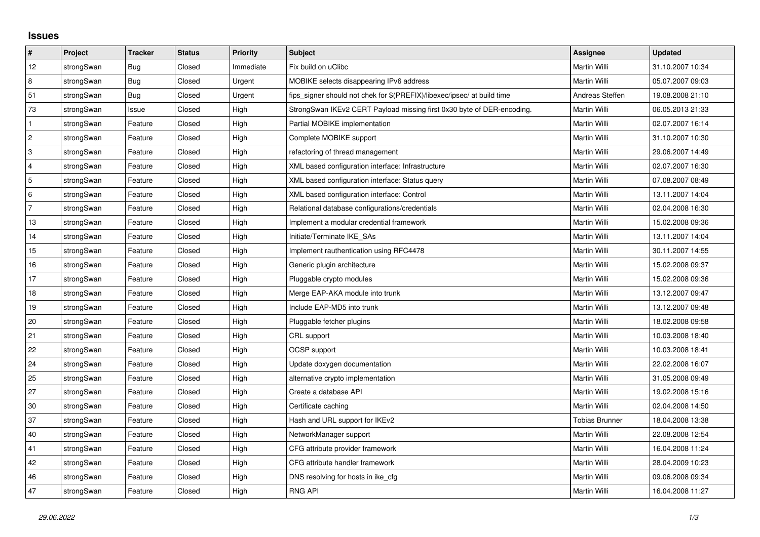## **Issues**

| $\vert$ #      | Project    | <b>Tracker</b> | <b>Status</b> | <b>Priority</b> | <b>Subject</b>                                                          | Assignee        | <b>Updated</b>   |
|----------------|------------|----------------|---------------|-----------------|-------------------------------------------------------------------------|-----------------|------------------|
| 12             | strongSwan | <b>Bug</b>     | Closed        | Immediate       | Fix build on uClibc                                                     | Martin Willi    | 31.10.2007 10:34 |
| 8              | strongSwan | Bug            | Closed        | Urgent          | MOBIKE selects disappearing IPv6 address                                | Martin Willi    | 05.07.2007 09:03 |
| 51             | strongSwan | Bug            | Closed        | Urgent          | fips_signer should not chek for \$(PREFIX)/libexec/ipsec/ at build time | Andreas Steffen | 19.08.2008 21:10 |
| 73             | strongSwan | Issue          | Closed        | High            | StrongSwan IKEv2 CERT Payload missing first 0x30 byte of DER-encoding.  | Martin Willi    | 06.05.2013 21:33 |
| $\mathbf{1}$   | strongSwan | Feature        | Closed        | High            | Partial MOBIKE implementation                                           | Martin Willi    | 02.07.2007 16:14 |
| $\vert$ 2      | strongSwan | Feature        | Closed        | High            | Complete MOBIKE support                                                 | Martin Willi    | 31.10.2007 10:30 |
| 3              | strongSwan | Feature        | Closed        | High            | refactoring of thread management                                        | Martin Willi    | 29.06.2007 14:49 |
| $\overline{4}$ | strongSwan | Feature        | Closed        | High            | XML based configuration interface: Infrastructure                       | Martin Willi    | 02.07.2007 16:30 |
| 5              | strongSwan | Feature        | Closed        | High            | XML based configuration interface: Status query                         | Martin Willi    | 07.08.2007 08:49 |
| 6              | strongSwan | Feature        | Closed        | High            | XML based configuration interface: Control                              | Martin Willi    | 13.11.2007 14:04 |
| $\overline{7}$ | strongSwan | Feature        | Closed        | High            | Relational database configurations/credentials                          | Martin Willi    | 02.04.2008 16:30 |
| 13             | strongSwan | Feature        | Closed        | High            | Implement a modular credential framework                                | Martin Willi    | 15.02.2008 09:36 |
| 14             | strongSwan | Feature        | Closed        | High            | Initiate/Terminate IKE_SAs                                              | Martin Willi    | 13.11.2007 14:04 |
| 15             | strongSwan | Feature        | Closed        | High            | Implement rauthentication using RFC4478                                 | Martin Willi    | 30.11.2007 14:55 |
| 16             | strongSwan | Feature        | Closed        | High            | Generic plugin architecture                                             | Martin Willi    | 15.02.2008 09:37 |
| 17             | strongSwan | Feature        | Closed        | High            | Pluggable crypto modules                                                | Martin Willi    | 15.02.2008 09:36 |
| 18             | strongSwan | Feature        | Closed        | High            | Merge EAP-AKA module into trunk                                         | Martin Willi    | 13.12.2007 09:47 |
| 19             | strongSwan | Feature        | Closed        | High            | Include EAP-MD5 into trunk                                              | Martin Willi    | 13.12.2007 09:48 |
| 20             | strongSwan | Feature        | Closed        | High            | Pluggable fetcher plugins                                               | Martin Willi    | 18.02.2008 09:58 |
| 21             | strongSwan | Feature        | Closed        | High            | CRL support                                                             | Martin Willi    | 10.03.2008 18:40 |
| 22             | strongSwan | Feature        | Closed        | High            | OCSP support                                                            | Martin Willi    | 10.03.2008 18:41 |
| 24             | strongSwan | Feature        | Closed        | High            | Update doxygen documentation                                            | Martin Willi    | 22.02.2008 16:07 |
| 25             | strongSwan | Feature        | Closed        | High            | alternative crypto implementation                                       | Martin Willi    | 31.05.2008 09:49 |
| 27             | strongSwan | Feature        | Closed        | High            | Create a database API                                                   | Martin Willi    | 19.02.2008 15:16 |
| 30             | strongSwan | Feature        | Closed        | High            | Certificate caching                                                     | Martin Willi    | 02.04.2008 14:50 |
| 37             | strongSwan | Feature        | Closed        | High            | Hash and URL support for IKEv2                                          | Tobias Brunner  | 18.04.2008 13:38 |
| 40             | strongSwan | Feature        | Closed        | High            | NetworkManager support                                                  | Martin Willi    | 22.08.2008 12:54 |
| 41             | strongSwan | Feature        | Closed        | High            | CFG attribute provider framework                                        | Martin Willi    | 16.04.2008 11:24 |
| 42             | strongSwan | Feature        | Closed        | High            | CFG attribute handler framework                                         | Martin Willi    | 28.04.2009 10:23 |
| 46             | strongSwan | Feature        | Closed        | High            | DNS resolving for hosts in ike_cfg                                      | Martin Willi    | 09.06.2008 09:34 |
| 47             | strongSwan | Feature        | Closed        | High            | <b>RNG API</b>                                                          | Martin Willi    | 16.04.2008 11:27 |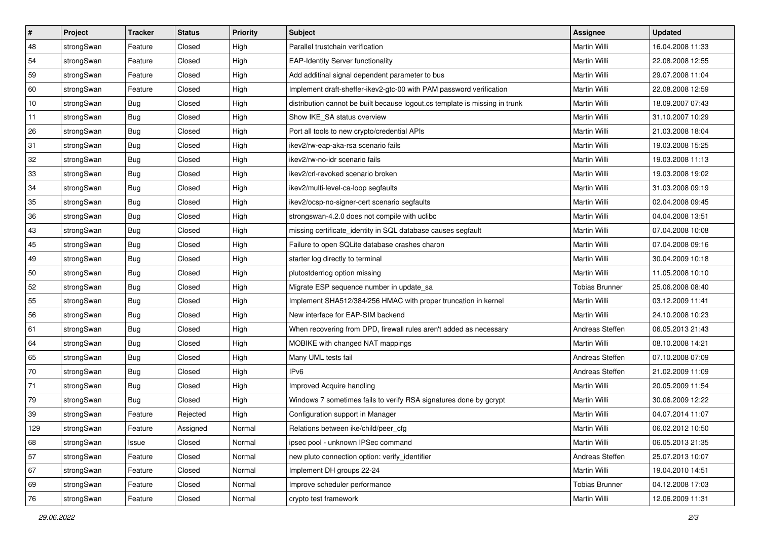| $\vert$ # | Project    | <b>Tracker</b> | <b>Status</b> | <b>Priority</b> | <b>Subject</b>                                                              | Assignee              | <b>Updated</b>   |
|-----------|------------|----------------|---------------|-----------------|-----------------------------------------------------------------------------|-----------------------|------------------|
| 48        | strongSwan | Feature        | Closed        | High            | Parallel trustchain verification                                            | Martin Willi          | 16.04.2008 11:33 |
| 54        | strongSwan | Feature        | Closed        | High            | <b>EAP-Identity Server functionality</b>                                    | <b>Martin Willi</b>   | 22.08.2008 12:55 |
| 59        | strongSwan | Feature        | Closed        | High            | Add additinal signal dependent parameter to bus                             | Martin Willi          | 29.07.2008 11:04 |
| 60        | strongSwan | Feature        | Closed        | High            | Implement draft-sheffer-ikev2-gtc-00 with PAM password verification         | Martin Willi          | 22.08.2008 12:59 |
| 10        | strongSwan | Bug            | Closed        | High            | distribution cannot be built because logout.cs template is missing in trunk | Martin Willi          | 18.09.2007 07:43 |
| 11        | strongSwan | <b>Bug</b>     | Closed        | High            | Show IKE SA status overview                                                 | Martin Willi          | 31.10.2007 10:29 |
| 26        | strongSwan | Bug            | Closed        | High            | Port all tools to new crypto/credential APIs                                | Martin Willi          | 21.03.2008 18:04 |
| 31        | strongSwan | Bug            | Closed        | High            | ikev2/rw-eap-aka-rsa scenario fails                                         | Martin Willi          | 19.03.2008 15:25 |
| 32        | strongSwan | <b>Bug</b>     | Closed        | High            | ikev2/rw-no-idr scenario fails                                              | Martin Willi          | 19.03.2008 11:13 |
| 33        | strongSwan | Bug            | Closed        | High            | ikev2/crl-revoked scenario broken                                           | Martin Willi          | 19.03.2008 19:02 |
| 34        | strongSwan | Bug            | Closed        | High            | ikev2/multi-level-ca-loop segfaults                                         | Martin Willi          | 31.03.2008 09:19 |
| 35        | strongSwan | <b>Bug</b>     | Closed        | High            | ikev2/ocsp-no-signer-cert scenario segfaults                                | Martin Willi          | 02.04.2008 09:45 |
| 36        | strongSwan | Bug            | Closed        | High            | strongswan-4.2.0 does not compile with uclibc                               | <b>Martin Willi</b>   | 04.04.2008 13:51 |
| 43        | strongSwan | <b>Bug</b>     | Closed        | High            | missing certificate_identity in SQL database causes segfault                | Martin Willi          | 07.04.2008 10:08 |
| 45        | strongSwan | Bug            | Closed        | High            | Failure to open SQLite database crashes charon                              | <b>Martin Willi</b>   | 07.04.2008 09:16 |
| 49        | strongSwan | <b>Bug</b>     | Closed        | High            | starter log directly to terminal                                            | Martin Willi          | 30.04.2009 10:18 |
| 50        | strongSwan | <b>Bug</b>     | Closed        | High            | plutostderrlog option missing                                               | <b>Martin Willi</b>   | 11.05.2008 10:10 |
| 52        | strongSwan | Bug            | Closed        | High            | Migrate ESP sequence number in update_sa                                    | Tobias Brunner        | 25.06.2008 08:40 |
| 55        | strongSwan | <b>Bug</b>     | Closed        | High            | Implement SHA512/384/256 HMAC with proper truncation in kernel              | Martin Willi          | 03.12.2009 11:41 |
| 56        | strongSwan | Bug            | Closed        | High            | New interface for EAP-SIM backend                                           | Martin Willi          | 24.10.2008 10:23 |
| 61        | strongSwan | <b>Bug</b>     | Closed        | High            | When recovering from DPD, firewall rules aren't added as necessary          | Andreas Steffen       | 06.05.2013 21:43 |
| 64        | strongSwan | <b>Bug</b>     | Closed        | High            | MOBIKE with changed NAT mappings                                            | Martin Willi          | 08.10.2008 14:21 |
| 65        | strongSwan | Bug            | Closed        | High            | Many UML tests fail                                                         | Andreas Steffen       | 07.10.2008 07:09 |
| 70        | strongSwan | <b>Bug</b>     | Closed        | High            | IP <sub>v6</sub>                                                            | Andreas Steffen       | 21.02.2009 11:09 |
| 71        | strongSwan | <b>Bug</b>     | Closed        | High            | Improved Acquire handling                                                   | Martin Willi          | 20.05.2009 11:54 |
| 79        | strongSwan | <b>Bug</b>     | Closed        | High            | Windows 7 sometimes fails to verify RSA signatures done by gcrypt           | Martin Willi          | 30.06.2009 12:22 |
| 39        | strongSwan | Feature        | Rejected      | High            | Configuration support in Manager                                            | Martin Willi          | 04.07.2014 11:07 |
| 129       | strongSwan | Feature        | Assigned      | Normal          | Relations between ike/child/peer_cfg                                        | Martin Willi          | 06.02.2012 10:50 |
| 68        | strongSwan | Issue          | Closed        | Normal          | ipsec pool - unknown IPSec command                                          | Martin Willi          | 06.05.2013 21:35 |
| 57        | strongSwan | Feature        | Closed        | Normal          | new pluto connection option: verify identifier                              | Andreas Steffen       | 25.07.2013 10:07 |
| 67        | strongSwan | Feature        | Closed        | Normal          | Implement DH groups 22-24                                                   | Martin Willi          | 19.04.2010 14:51 |
| 69        | strongSwan | Feature        | Closed        | Normal          | Improve scheduler performance                                               | <b>Tobias Brunner</b> | 04.12.2008 17:03 |
| 76        | strongSwan | Feature        | Closed        | Normal          | crypto test framework                                                       | Martin Willi          | 12.06.2009 11:31 |